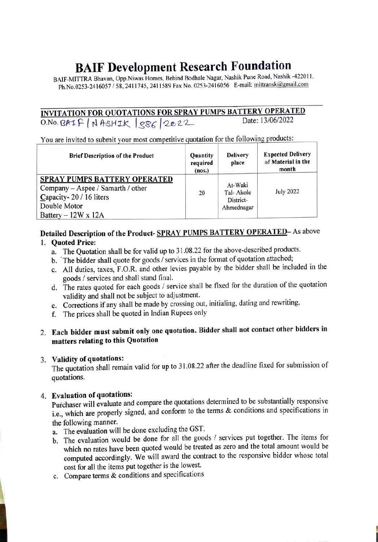# BAIF Development Research Foundation

BAIF-MITTRA Bhavan, Opp.Niwas Homes, Behind Bodhale Nagar, Nashik Pune Road, Nashik -422011. Ph.No.0253-2416057/58, 2411745, 2411589 Fax No. 0253-2416056 E-mail: mittransk@gmail.com

INVITATION FOR QUOTATIONS FOR SPRAY PUMPS BATTERY OPERATED<br>O No. 24-1 C | J A-214 E | COC | COLORA  $0.80.8$ AIF | NASHIK  $|886|2022$ 

You are invited to submit your most competitive quotation for the following products:

| <b>Brief Description of the Product</b>                                                                                                          | <b>Quantity</b><br>required<br>(nos.) | <b>Delivery</b><br>place                        | <b>Expected Delivery</b><br>of Material in the<br>month |
|--------------------------------------------------------------------------------------------------------------------------------------------------|---------------------------------------|-------------------------------------------------|---------------------------------------------------------|
| <b>SPRAY PUMPS BATTERY OPERATED</b><br>Company – Aspee / Samarth / other<br>Capacity-20 / 16 liters<br>Double Motor<br>Battery $-12W \times 12A$ | 20                                    | At-Waki<br>Tal-Akole<br>District-<br>Ahmednagar | <b>July 2022</b>                                        |

# Detailed Description of the Product-SPRAY PUMPS BATTERY OPERATED- As above

#### 1. Quoted Price:

- a. The Quotation shall be for valid up to 31.08.22 for the above-described products.
- b. The bidder shall quote for goods/ services in the format of quotation attached;
- C. All duties, taxes, F.O.R. and other levies payable by the bidder shall be included in the goods / services and shall stand final.
- d. The rates quoted for each goods/ service shall be fixed for the duration of the quotation validity and shall not be subject to adjustment.
- e. Corrections if any shall be made by crossing out, initialing, dating and rewriting.
- f. The prices shall be quoted in Indian Rupees only

## 2. Each bidder must submit only one quotation. Bidder shall not contact other bidders in matters relating to this Quotation

#### 3. Validity of quotations:

The quotation shall remain valid for up to 31.08.22 after the deadline fixed for submission of quotations.

4. Evaluation of quotations: Purchaser will evaluate and compare the quotations determined to be substantially responsive i.e., which are properly signed, and conform to the terms & conditions and specifications in the following manner.

a. The evaluation will be done excluding the GST.

- b. The evaluation would be done for all the goods / services put together. The items for which no rates have been quoted would be treated as zero and the total amount would be computed accordingly. We will award the contract to the responsive bidder whose total cost for all the items put together is the lowest.
- c. Compare terms & conditions and specifications